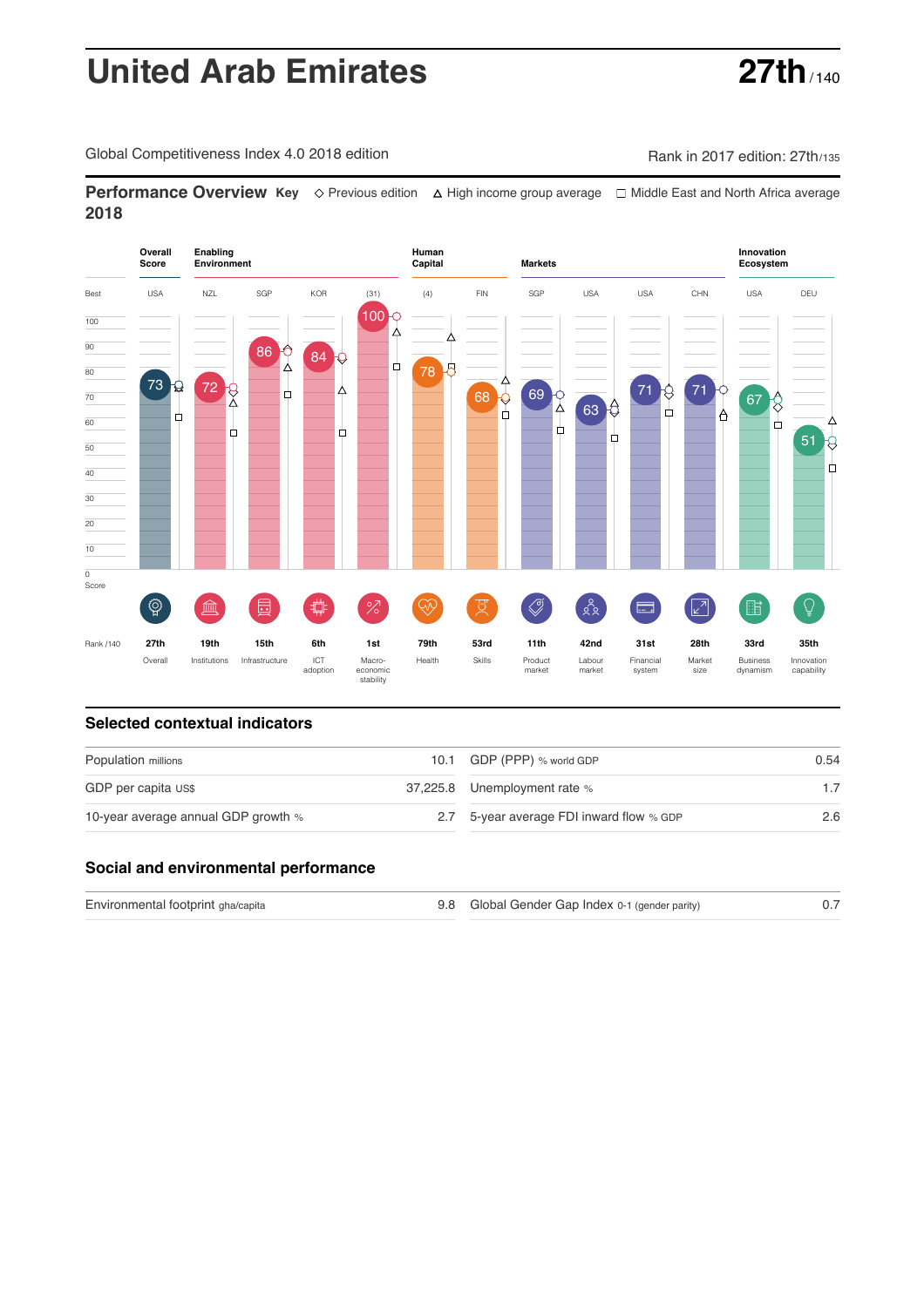# **United Arab Emirates 27th**

Global Competitiveness Index 4.0 2018 edition Company Rank in 2017 edition: 27th/135

**Performance Overview Key** Previous edition High income group average Middle East and North Africa average **2018**



### **Selected contextual indicators**

| Population millions                 | 10.1 GDP (PPP) % world GDP               | 0.54    |  |
|-------------------------------------|------------------------------------------|---------|--|
| GDP per capita US\$                 | 37,225.8 Unemployment rate %             |         |  |
| 10-year average annual GDP growth % | 2.7 5-year average FDI inward flow % GDP | $2.6\,$ |  |

#### **Social and environmental performance**

| Environmental footprint gha/capita | 9.8 Global Gender Gap Index 0-1 (gender parity) |  |
|------------------------------------|-------------------------------------------------|--|
|                                    |                                                 |  |

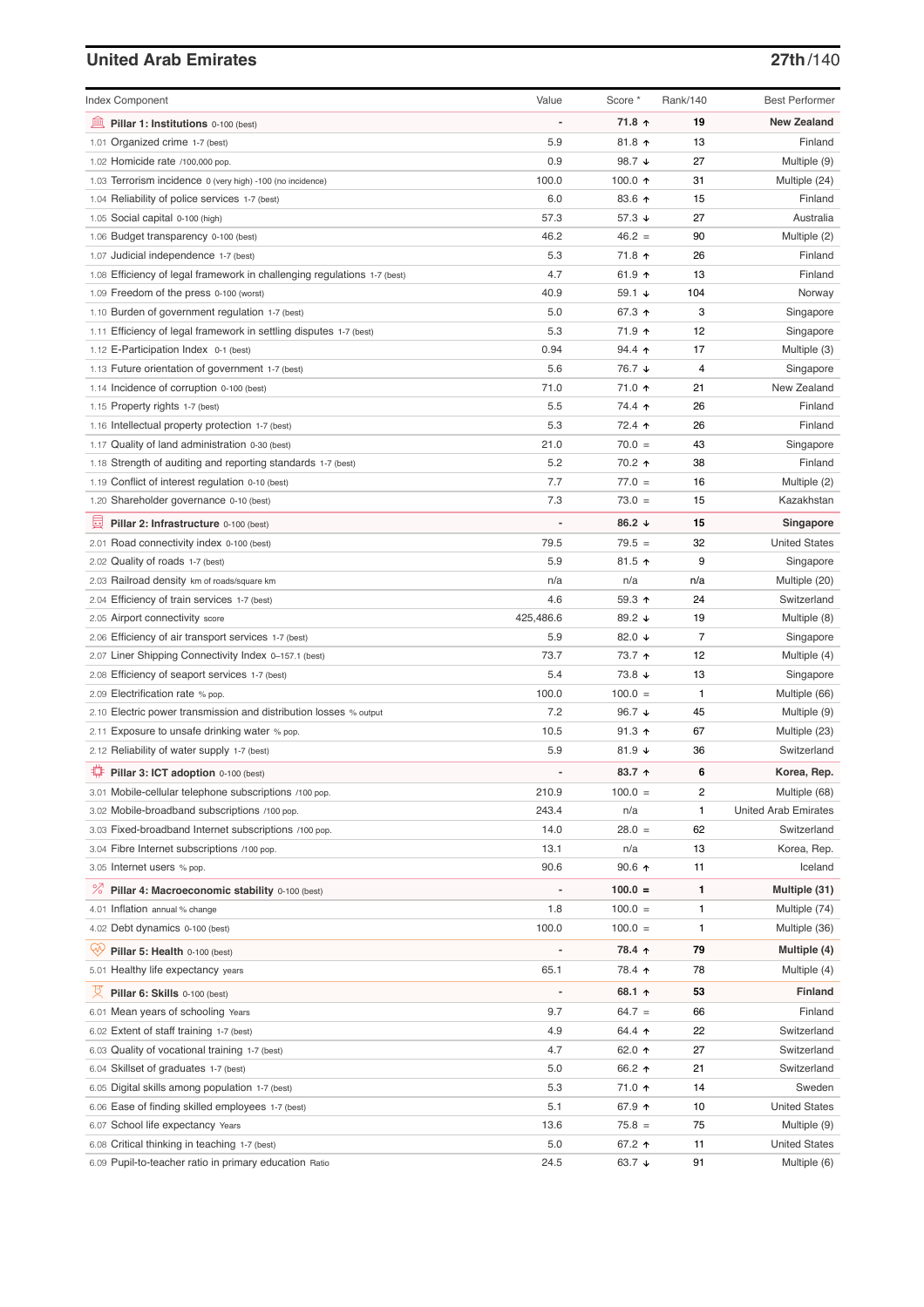## **United Arab Emirates 27th**/140

| <b>Index Component</b>                                                         | Value          | Score *          | Rank/140       | <b>Best Performer</b>       |
|--------------------------------------------------------------------------------|----------------|------------------|----------------|-----------------------------|
| Pillar 1: Institutions 0-100 (best)                                            |                | 71.8 ↑           | 19             | <b>New Zealand</b>          |
| 1.01 Organized crime 1-7 (best)                                                | 5.9            | $81.8$ ↑         | 13             | Finland                     |
| 1.02 Homicide rate /100,000 pop.                                               | 0.9            | 98.7 ↓           | 27             | Multiple (9)                |
| 1.03 Terrorism incidence 0 (very high) -100 (no incidence)                     | 100.0          | 100.0 $\uparrow$ | 31             | Multiple (24)               |
| 1.04 Reliability of police services 1-7 (best)                                 | 6.0            | 83.6 个           | 15             | Finland                     |
| 1.05 Social capital 0-100 (high)                                               | 57.3           | 57.3 ↓           | 27             | Australia                   |
| 1.06 Budget transparency 0-100 (best)                                          | 46.2           | $46.2 =$         | 90             | Multiple (2)                |
| 1.07 Judicial independence 1-7 (best)                                          | 5.3            | 71.8 ↑           | 26             | Finland                     |
| 1.08 Efficiency of legal framework in challenging regulations 1-7 (best)       | 4.7            | 61.9 $\uparrow$  | 13             | Finland                     |
| 1.09 Freedom of the press 0-100 (worst)                                        | 40.9           | 59.1 ↓           | 104            | Norway                      |
| 1.10 Burden of government regulation 1-7 (best)                                | 5.0            | 67.3 ↑           | 3              | Singapore                   |
| 1.11 Efficiency of legal framework in settling disputes 1-7 (best)             | 5.3            | 71.9 ↑           | 12             | Singapore                   |
| 1.12 E-Participation Index 0-1 (best)                                          | 0.94           | $94.4$ ↑         | 17             | Multiple (3)                |
| 1.13 Future orientation of government 1-7 (best)                               | 5.6            | 76.7 ↓           | 4              | Singapore                   |
| 1.14 Incidence of corruption 0-100 (best)                                      | 71.0           | 71.0 ↑           | 21             | New Zealand                 |
| 1.15 Property rights 1-7 (best)                                                | 5.5            | 74.4 ↑           | 26             | Finland                     |
| 1.16 Intellectual property protection 1-7 (best)                               | 5.3            | 72.4 ↑           | 26             | Finland                     |
| 1.17 Quality of land administration 0-30 (best)                                | 21.0           | $70.0 =$         | 43             | Singapore                   |
| 1.18 Strength of auditing and reporting standards 1-7 (best)                   | 5.2            | 70.2 ↑           | 38             | Finland                     |
| 1.19 Conflict of interest regulation 0-10 (best)                               | 7.7            | $77.0 =$         | 16             | Multiple (2)                |
| 1.20 Shareholder governance 0-10 (best)                                        | 7.3            | $73.0 =$         | 15             | Kazakhstan                  |
| 員<br>Pillar 2: Infrastructure 0-100 (best)                                     |                | 86.2 $\sqrt{ }$  | 15             | Singapore                   |
| 2.01 Road connectivity index 0-100 (best)                                      | 79.5           | $79.5 =$         | 32             | <b>United States</b>        |
| 2.02 Quality of roads 1-7 (best)                                               | 5.9            | 81.5 $\uparrow$  | 9              | Singapore                   |
| 2.03 Railroad density km of roads/square km                                    | n/a            | n/a              | n/a            | Multiple (20)               |
| 2.04 Efficiency of train services 1-7 (best)                                   | 4.6            | 59.3 ↑           | 24             | Switzerland                 |
| 2.05 Airport connectivity score                                                | 425,486.6      | 89.2 ↓           | 19             | Multiple (8)                |
| 2.06 Efficiency of air transport services 1-7 (best)                           | 5.9            | 82.0 $\sqrt{ }$  | $\overline{7}$ | Singapore                   |
| 2.07 Liner Shipping Connectivity Index 0-157.1 (best)                          | 73.7           | 73.7 ↑           | 12             | Multiple (4)                |
| 2.08 Efficiency of seaport services 1-7 (best)                                 | 5.4            | 73.8 ↓           | 13             | Singapore                   |
| 2.09 Electrification rate % pop.                                               | 100.0          | $100.0 =$        | 1              | Multiple (66)               |
| 2.10 Electric power transmission and distribution losses % output              | 7.2            | 96.7 $\sqrt{ }$  | 45             | Multiple (9)                |
| 2.11 Exposure to unsafe drinking water % pop.                                  | 10.5           | $91.3$ ↑         | 67             | Multiple (23)               |
| 2.12 Reliability of water supply 1-7 (best)                                    | 5.9            | 81.9 $\sqrt{ }$  | 36             | Switzerland                 |
| Pillar 3: ICT adoption 0-100 (best)                                            | $\overline{a}$ | 83.7 个           | 6              | Korea, Rep.                 |
| 3.01 Mobile-cellular telephone subscriptions /100 pop.                         | 210.9          | $100.0 =$        | 2              | Multiple (68)               |
| 3.02 Mobile-broadband subscriptions /100 pop.                                  | 243.4          | n/a              | 1              | <b>United Arab Emirates</b> |
| 3.03 Fixed-broadband Internet subscriptions /100 pop.                          | 14.0           | $28.0 =$         | 62             | Switzerland                 |
| 3.04 Fibre Internet subscriptions /100 pop.                                    | 13.1           | n/a              | 13             | Korea, Rep.                 |
| 3.05 Internet users % pop.                                                     | 90.6           | $90.6$ ↑         | 11             | Iceland                     |
| ℅<br>Pillar 4: Macroeconomic stability 0-100 (best)                            |                | $100.0 =$        | 1              | Multiple (31)               |
| 4.01 Inflation annual % change                                                 | 1.8            | $100.0 =$        | 1              | Multiple (74)               |
| 4.02 Debt dynamics 0-100 (best)                                                | 100.0          | $100.0 =$        | 1              | Multiple (36)               |
| Pillar 5: Health 0-100 (best)                                                  |                | 78.4 个           | 79             | Multiple (4)                |
| 5.01 Healthy life expectancy years                                             | 65.1           | 78.4 ↑           | 78             | Multiple (4)                |
| ¤<br>Pillar 6: Skills 0-100 (best)                                             |                | 68.1 ↑           | 53             | <b>Finland</b>              |
|                                                                                | 9.7            | $64.7 =$         | 66             | Finland                     |
| 6.01 Mean years of schooling Years<br>6.02 Extent of staff training 1-7 (best) | 4.9            | 64.4 ↑           | 22             | Switzerland                 |
| 6.03 Quality of vocational training 1-7 (best)                                 | 4.7            | 62.0 ↑           | 27             | Switzerland                 |
| 6.04 Skillset of graduates 1-7 (best)                                          | 5.0            | 66.2 ↑           | 21             | Switzerland                 |
| 6.05 Digital skills among population 1-7 (best)                                | 5.3            | 71.0 ↑           | 14             | Sweden                      |
| 6.06 Ease of finding skilled employees 1-7 (best)                              | 5.1            | 67.9 ↑           | 10             | <b>United States</b>        |
| 6.07 School life expectancy Years                                              | 13.6           | $75.8 =$         | 75             | Multiple (9)                |
| 6.08 Critical thinking in teaching 1-7 (best)                                  | 5.0            | 67.2 ↑           | 11             | <b>United States</b>        |
| 6.09 Pupil-to-teacher ratio in primary education Ratio                         | 24.5           | 63.7 ↓           | 91             | Multiple (6)                |
|                                                                                |                |                  |                |                             |